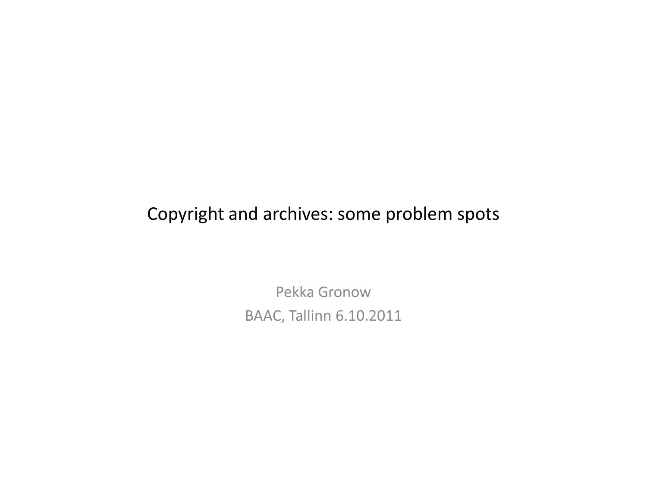## Copyright and archives: some problem spots

Pekka GronowBAAC, Tallinn 6.10.2011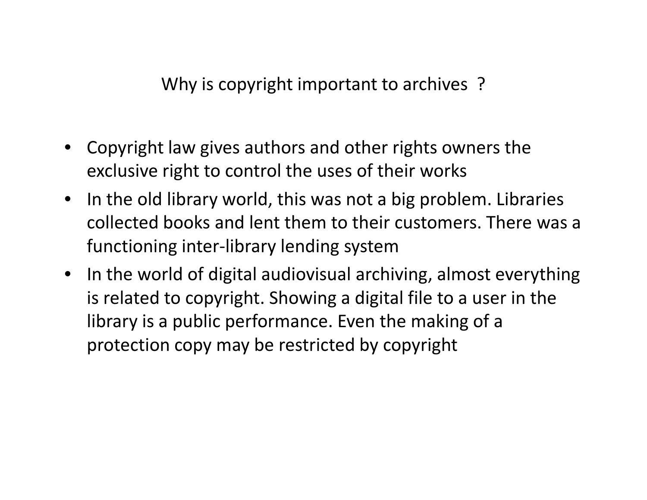Why is copyright important to archives ?

- • Copyright law gives authors and other rights owners the exclusive right to control the uses of their works
- In the old library world, this was not a big problem. Libraries collected books and lent them to their customers. There was a functioning inter-library lending system
- In the world of digital audiovisual archiving, almost everything is related to copyright. Showing a digital file to a user in the library is a public performance. Even the making of a protection copy may be restricted by copyright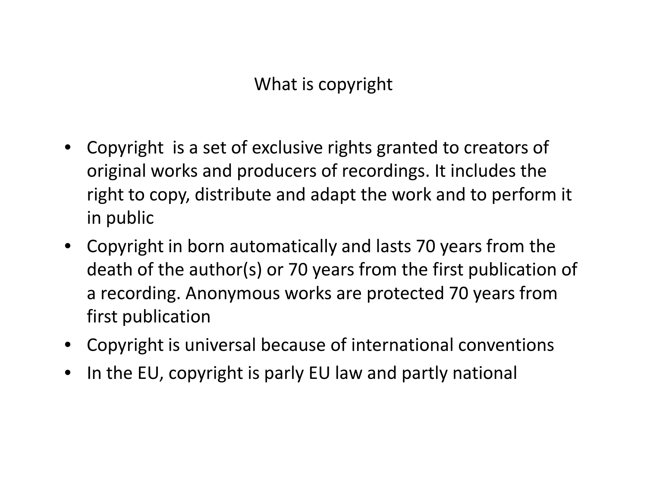What is copyright

- • Copyright is a set of exclusive rights granted to creators of original works and producers of recordings. It includes the right to copy, distribute and adapt the work and to perform it in public
- Copyright in born automatically and lasts 70 years from the death of the author(s) or 70 years from the first publication of a recording. Anonymous works are protected 70 years from first publication
- Copyright is universal because of international conventions
- •In the EU, copyright is parly EU law and partly national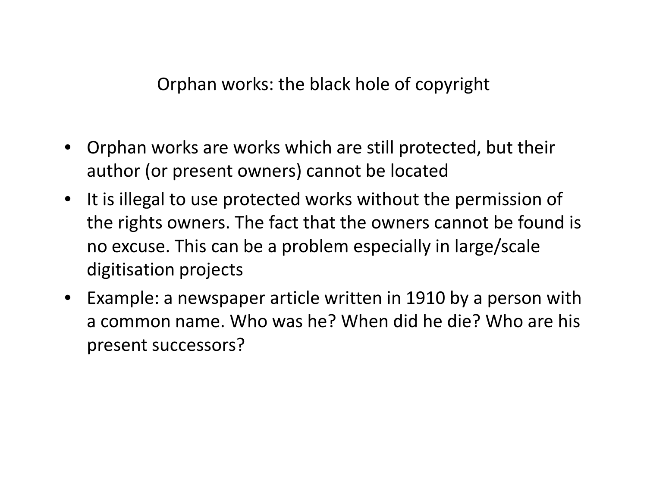Orphan works: the black hole of copyright

- • Orphan works are works which are still protected, but their author (or present owners) cannot be located
- It is illegal to use protected works without the permission of the rights owners. The fact that the owners cannot be found isno excuse. This can be a problem especially in large/scale digitisation projects
- Example: a newspaper article written in 1910 by a person with a common name. Who was he? When did he die? Who are his present successors?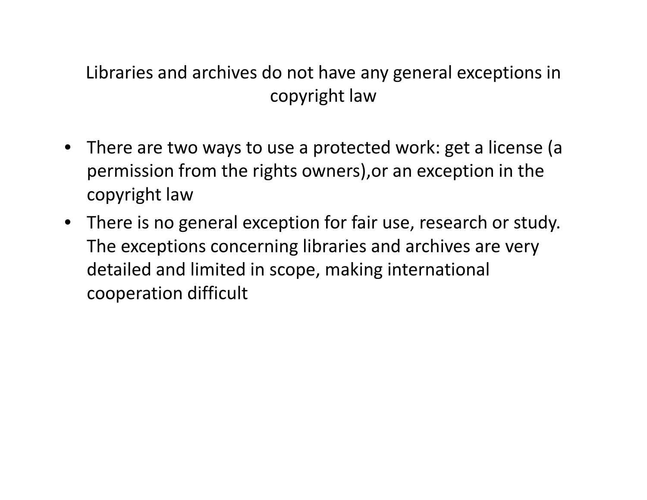## Libraries and archives do not have any general exceptions in copyright law

- There are two ways to use a protected work: get a license (a permission from the rights owners),or an exception in the copyright law
- There is no general exception for fair use, research or study. The exceptions concerning libraries and archives are very detailed and limited in scope, making international cooperation difficult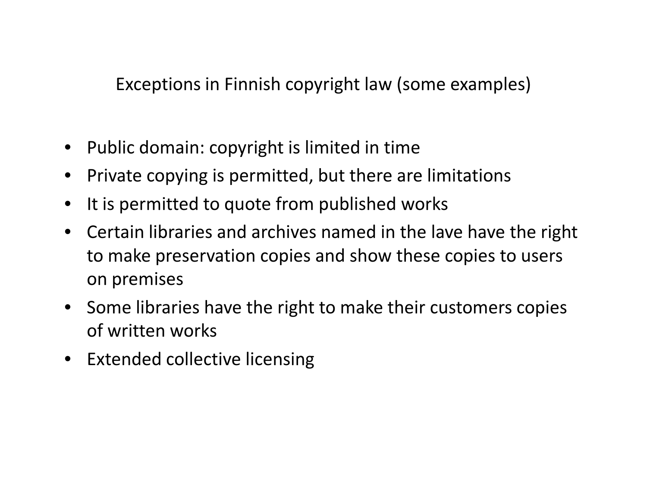Exceptions in Finnish copyright law (some examples)

- Public domain: copyright is limited in time
- •Private copying is permitted, but there are limitations
- •It is permitted to quote from published works
- $\bullet$  Certain libraries and archives named in the lave have the right to make preservation copies and show these copies to users on premises
- Some libraries have the right to make their customers copies of written works
- Extended collective licensing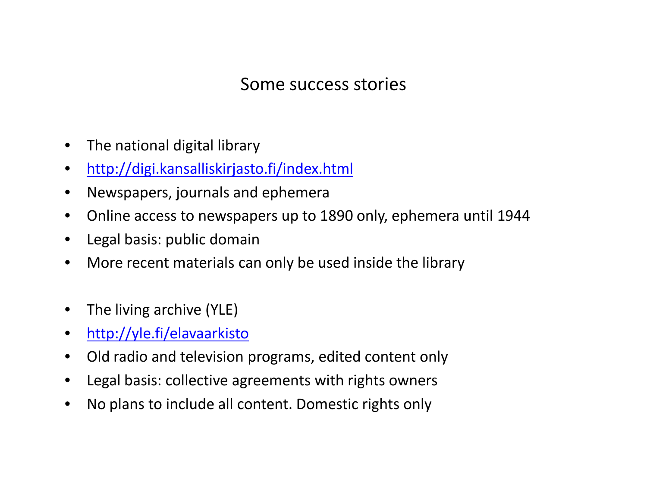## Some success stories

- $\bullet$ The national digital library
- $\bullet$ http://digi.kansalliskirjasto.fi/index.html
- $\bullet$ Newspapers, journals and ephemera
- $\bullet$ Online access to newspapers up to 1890 only, ephemera until 1944
- $\bullet$ Legal basis: public domain
- •More recent materials can only be used inside the library
- $\bullet$ The living archive (YLE)
- $\bullet$ http://yle.fi/elavaarkisto
- •Old radio and television programs, edited content only
- •Legal basis: collective agreements with rights owners
- $\bullet$ No plans to include all content. Domestic rights only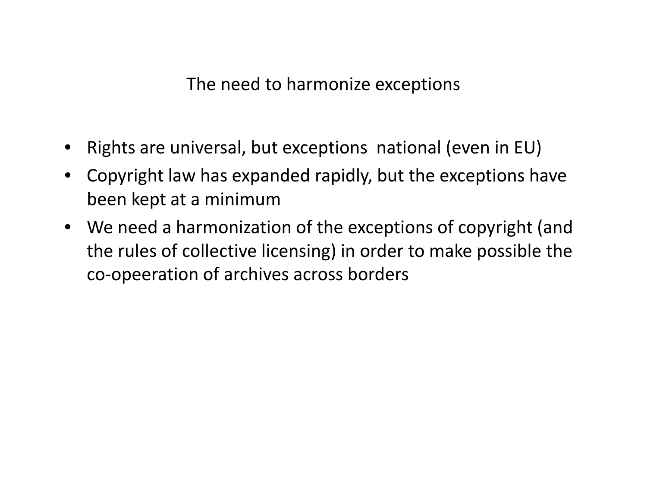The need to harmonize exceptions

- •Rights are universal, but exceptions national (even in EU)
- $\bullet$  Copyright law has expanded rapidly, but the exceptions have been kept at a minimum
- We need a harmonization of the exceptions of copyright (and the rules of collective licensing) in order to make possible the co-opeeration of archives across borders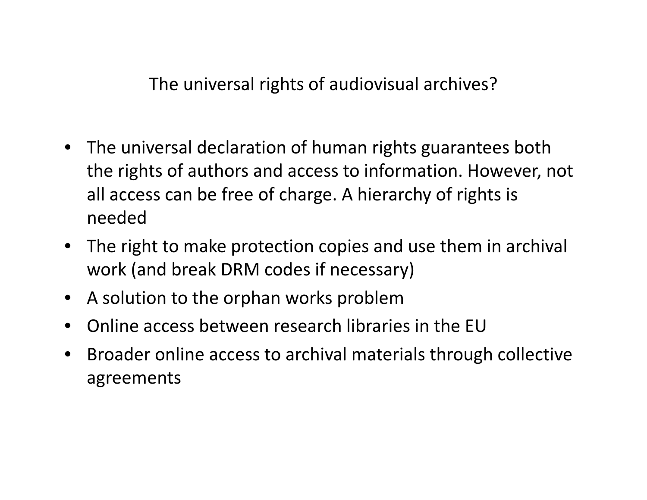The universal rights of audiovisual archives?

- The universal declaration of human rights guarantees both the rights of authors and access to information. However, not all access can be free of charge. A hierarchy of rights is needed
- The right to make protection copies and use them in archival work (and break DRM codes if necessary)
- $\bullet$ A solution to the orphan works problem
- **•** Online access between research libraries in the EU  $\bullet$
- • Broader online access to archival materials through collective agreements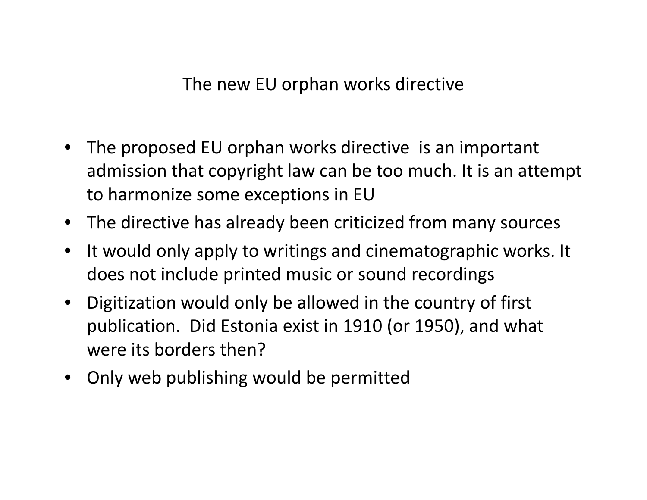The new EU orphan works directive

- The proposed EU orphan works directive is an important admission that copyright law can be too much. It is an attempt to harmonize some exceptions in EU
- The directive has already been criticized from many sources
- • It would only apply to writings and cinematographic works. It does not include printed music or sound recordings
- Digitization would only be allowed in the country of first publication. Did Estonia exist in 1910 (or 1950), and what were its borders then?
- Only web publishing would be permitted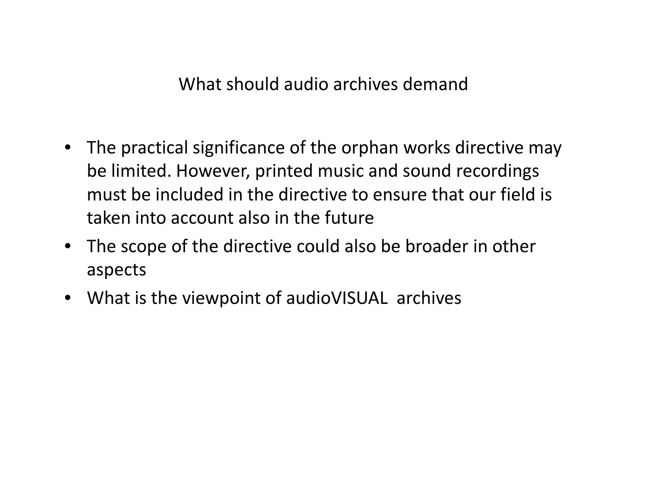What should audio archives demand

- The practical significance of the orphan works directive may be limited. However, printed music and sound recordings must be included in the directive to ensure that our field is taken into account also in the future
- The scope of the directive could also be broader in other aspects
- What is the viewpoint of audioVISUAL archives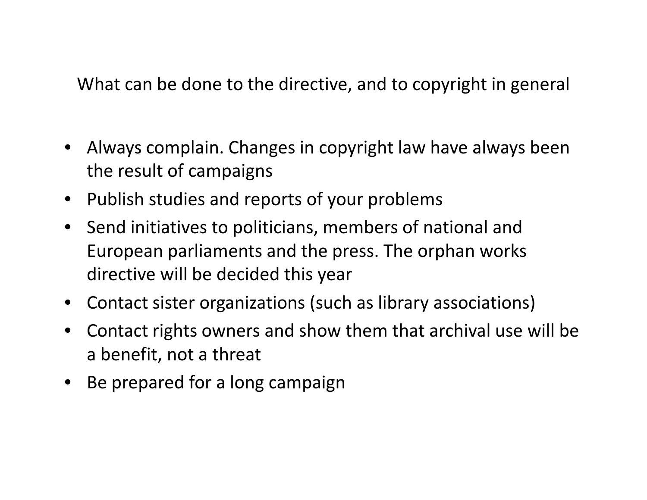What can be done to the directive, and to copyright in general

- Always complain. Changes in copyright law have always been the result of campaigns
- Publish studies and reports of your problems
- Send initiatives to politicians, members of national and European parliaments and the press. The orphan works directive will be decided this year
- Contact sister organizations (such as library associations)
- • Contact rights owners and show them that archival use will be a benefit, not a threat
- Be prepared for a long campaign